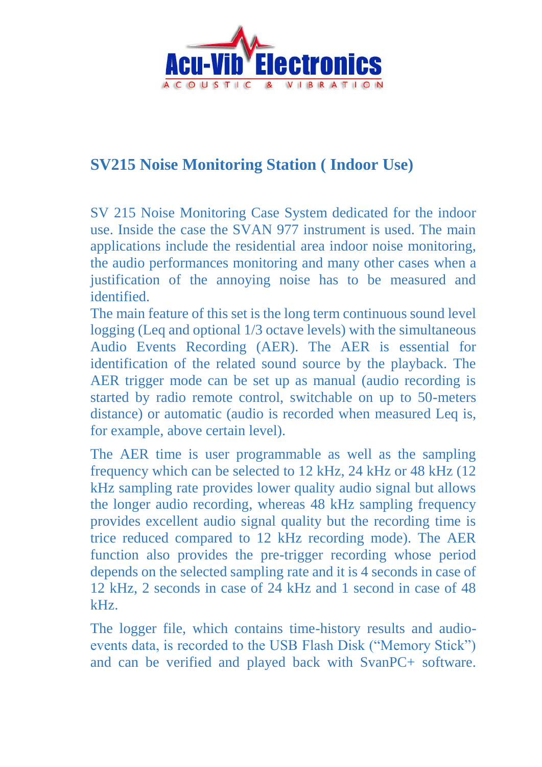

## **SV215 Noise Monitoring Station ( Indoor Use)**

SV 215 Noise Monitoring Case System dedicated for the indoor use. Inside the case the SVAN 977 instrument is used. The main applications include the residential area indoor noise monitoring, the audio performances monitoring and many other cases when a justification of the annoying noise has to be measured and identified.

The main feature of this set is the long term continuous sound level logging (Leq and optional 1/3 octave levels) with the simultaneous Audio Events Recording (AER). The AER is essential for identification of the related sound source by the playback. The AER trigger mode can be set up as manual (audio recording is started by radio remote control, switchable on up to 50-meters distance) or automatic (audio is recorded when measured Leq is, for example, above certain level).

The AER time is user programmable as well as the sampling frequency which can be selected to 12 kHz, 24 kHz or 48 kHz (12 kHz sampling rate provides lower quality audio signal but allows the longer audio recording, whereas 48 kHz sampling frequency provides excellent audio signal quality but the recording time is trice reduced compared to 12 kHz recording mode). The AER function also provides the pre-trigger recording whose period depends on the selected sampling rate and it is 4 seconds in case of 12 kHz, 2 seconds in case of 24 kHz and 1 second in case of 48 kHz.

The logger file, which contains time-history results and audioevents data, is recorded to the USB Flash Disk ("Memory Stick") and can be verified and played back with SvanPC+ software.